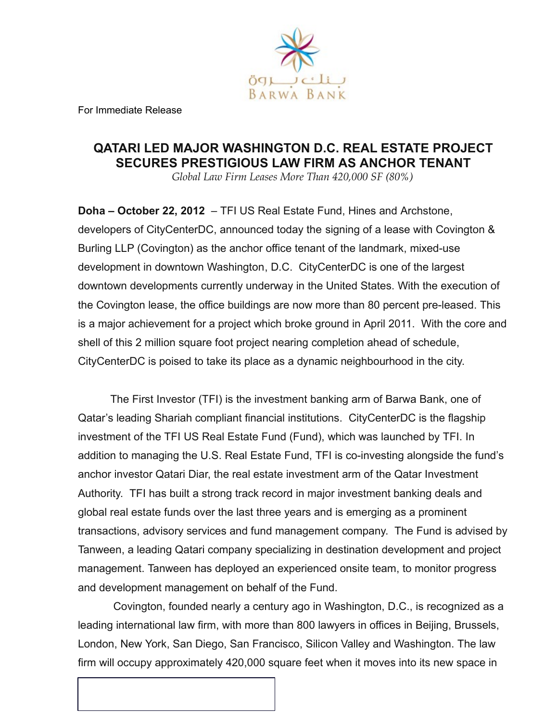

 For Immediate Release

# **QATARI LED MAJOR WASHINGTON D.C. REAL ESTATE PROJECT SECURES PRESTIGIOUS LAW FIRM AS ANCHOR TENANT**

*Global Law Firm Leases More Than 420,000 SF (80%)*

**Doha – October 22, 2012** – TFI US Real Estate Fund, Hines and Archstone, developers of CityCenterDC, announced today the signing of a lease with Covington & Burling LLP (Covington) as the anchor office tenant of the landmark, mixed-use development in downtown Washington, D.C. CityCenterDC is one of the largest downtown developments currently underway in the United States. With the execution of the Covington lease, the office buildings are now more than 80 percent pre-leased. This is a major achievement for a project which broke ground in April 2011. With the core and shell of this 2 million square foot project nearing completion ahead of schedule, CityCenterDC is poised to take its place as a dynamic neighbourhood in the city.

The First Investor (TFI) is the investment banking arm of Barwa Bank, one of Qatar's leading Shariah compliant financial institutions. CityCenterDC is the flagship investment of the TFI US Real Estate Fund (Fund), which was launched by TFI. In addition to managing the U.S. Real Estate Fund, TFI is co-investing alongside the fund's anchor investor Qatari Diar, the real estate investment arm of the Qatar Investment Authority. TFI has built a strong track record in major investment banking deals and global real estate funds over the last three years and is emerging as a prominent transactions, advisory services and fund management company. The Fund is advised by Tanween, a leading Qatari company specializing in destination development and project management. Tanween has deployed an experienced onsite team, to monitor progress and development management on behalf of the Fund.

 Covington, founded nearly a century ago in Washington, D.C., is recognized as a leading international law firm, with more than 800 lawyers in offices in Beijing, Brussels, London, New York, San Diego, San Francisco, Silicon Valley and Washington. The law firm will occupy approximately 420,000 square feet when it moves into its new space in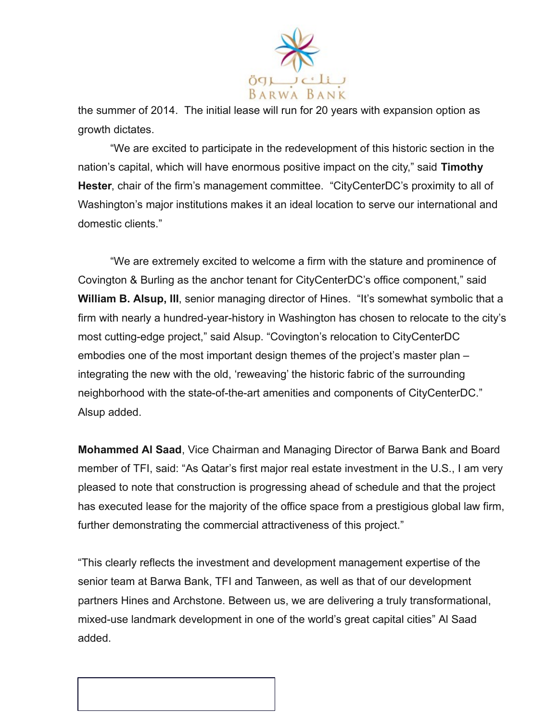

the summer of 2014. The initial lease will run for 20 years with expansion option as growth dictates.

"We are excited to participate in the redevelopment of this historic section in the nation's capital, which will have enormous positive impact on the city," said **Timothy Hester**, chair of the firm's management committee. "CityCenterDC's proximity to all of Washington's major institutions makes it an ideal location to serve our international and domestic clients."

"We are extremely excited to welcome a firm with the stature and prominence of Covington & Burling as the anchor tenant for CityCenterDC's office component," said **William B. Alsup, III**, senior managing director of Hines. "It's somewhat symbolic that a firm with nearly a hundred-year-history in Washington has chosen to relocate to the city's most cutting-edge project," said Alsup. "Covington's relocation to CityCenterDC embodies one of the most important design themes of the project's master plan – integrating the new with the old, 'reweaving' the historic fabric of the surrounding neighborhood with the state-of-the-art amenities and components of CityCenterDC." Alsup added.

**Mohammed Al Saad**, Vice Chairman and Managing Director of Barwa Bank and Board member of TFI, said: "As Qatar's first major real estate investment in the U.S., I am very pleased to note that construction is progressing ahead of schedule and that the project has executed lease for the majority of the office space from a prestigious global law firm, further demonstrating the commercial attractiveness of this project."

"This clearly reflects the investment and development management expertise of the senior team at Barwa Bank, TFI and Tanween, as well as that of our development partners Hines and Archstone. Between us, we are delivering a truly transformational, mixed-use landmark development in one of the world's great capital cities" Al Saad added.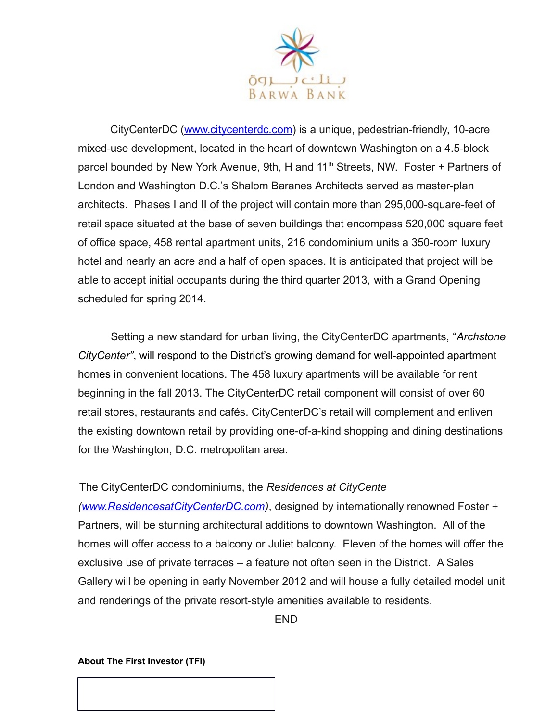

CityCenterDC [\(www.citycenterdc.com\)](http://www.citycenterdc.com/) is a unique, pedestrian-friendly, 10-acre mixed-use development, located in the heart of downtown Washington on a 4.5-block parcel bounded by New York Avenue, 9th, H and 11<sup>th</sup> Streets, NW. Foster + Partners of London and Washington D.C.'s Shalom Baranes Architects served as master-plan architects. Phases I and II of the project will contain more than 295,000-square-feet of retail space situated at the base of seven buildings that encompass 520,000 square feet of office space, 458 rental apartment units, 216 condominium units a 350-room luxury hotel and nearly an acre and a half of open spaces. It is anticipated that project will be able to accept initial occupants during the third quarter 2013, with a Grand Opening scheduled for spring 2014.

Setting a new standard for urban living, the CityCenterDC apartments, "*Archstone CityCenter"*, will respond to the District's growing demand for well-appointed apartment homes in convenient locations. The 458 luxury apartments will be available for rent beginning in the fall 2013. The CityCenterDC retail component will consist of over 60 retail stores, restaurants and cafés. CityCenterDC's retail will complement and enliven the existing downtown retail by providing one-of-a-kind shopping and dining destinations for the Washington, D.C. metropolitan area.

# The CityCenterDC condominiums, the *Residences at CityCente*

*[\(www.ResidencesatCityCenterDC.com\)](http://www.ResidencesatCityCenterDC.com/)*, designed by internationally renowned Foster + Partners, will be stunning architectural additions to downtown Washington. All of the homes will offer access to a balcony or Juliet balcony. Eleven of the homes will offer the exclusive use of private terraces – a feature not often seen in the District. A Sales Gallery will be opening in early November 2012 and will house a fully detailed model unit and renderings of the private resort-style amenities available to residents.

END

# **About The First Investor (TFI)**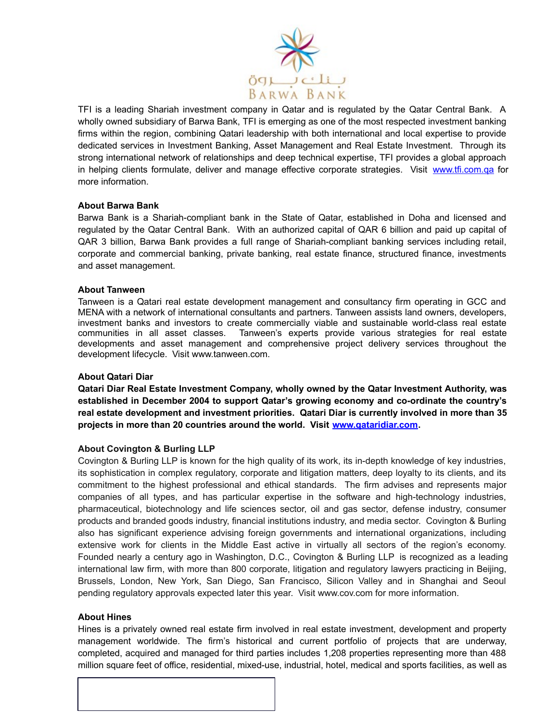

 $\overline{a}$ TFI is a leading Shariah investment company in Qatar and is regulated by the Qatar Central Bank. A wholly owned subsidiary of Barwa Bank, TFI is emerging as one of the most respected investment banking firms within the region, combining Qatari leadership with both international and local expertise to provide dedicated services in Investment Banking, Asset Management and Real Estate Investment. Through its strong international network of relationships and deep technical expertise, TFI provides a global approach in helping clients formulate, deliver and manage effective corporate strategies. Visit [www.tfi.com.qa](http://www.tfi.com.qa/) for more information.

## **About Barwa Bank**

Barwa Bank is a Shariah-compliant bank in the State of Qatar, established in Doha and licensed and regulated by the Qatar Central Bank. With an authorized capital of QAR 6 billion and paid up capital of QAR 3 billion, Barwa Bank provides a full range of Shariah-compliant banking services including retail, corporate and commercial banking, private banking, real estate finance, structured finance, investments and asset management.

## **About Tanween**

Tanween is a Qatari real estate development management and consultancy firm operating in GCC and MENA with a network of international consultants and partners. Tanween assists land owners, developers, investment banks and investors to create commercially viable and sustainable world-class real estate communities in all asset classes. Tanween's experts provide various strategies for real estate developments and asset management and comprehensive project delivery services throughout the development lifecycle. Visit www.tanween.com.

# **About Qatari Diar**

**Qatari Diar Real Estate Investment Company, wholly owned by the Qatar Investment Authority, was established in December 2004 to support Qatar's growing economy and co-ordinate the country's real estate development and investment priorities. Qatari Diar is currently involved in more than 35 projects in more than 20 countries around the world. Visit [www.qataridiar.com.](http://www.qataridiar.com/)**

# **About Covington & Burling LLP**

Covington & Burling LLP is known for the high quality of its work, its in-depth knowledge of key industries, its sophistication in complex regulatory, corporate and litigation matters, deep loyalty to its clients, and its commitment to the highest professional and ethical standards. The firm advises and represents major companies of all types, and has particular expertise in the software and high-technology industries, pharmaceutical, biotechnology and life sciences sector, oil and gas sector, defense industry, consumer products and branded goods industry, financial institutions industry, and media sector. Covington & Burling also has significant experience advising foreign governments and international organizations, including extensive work for clients in the Middle East active in virtually all sectors of the region's economy. Founded nearly a century ago in Washington, D.C., Covington & Burling LLP is recognized as a leading international law firm, with more than 800 corporate, litigation and regulatory lawyers practicing in Beijing, Brussels, London, New York, San Diego, San Francisco, Silicon Valley and in Shanghai and Seoul pending regulatory approvals expected later this year. Visit www.cov.com for more information.

#### **About Hines**

Hines is a privately owned real estate firm involved in real estate investment, development and property management worldwide. The firm's historical and current portfolio of projects that are underway, completed, acquired and managed for third parties includes 1,208 properties representing more than 488 million square feet of office, residential, mixed-use, industrial, hotel, medical and sports facilities, as well as